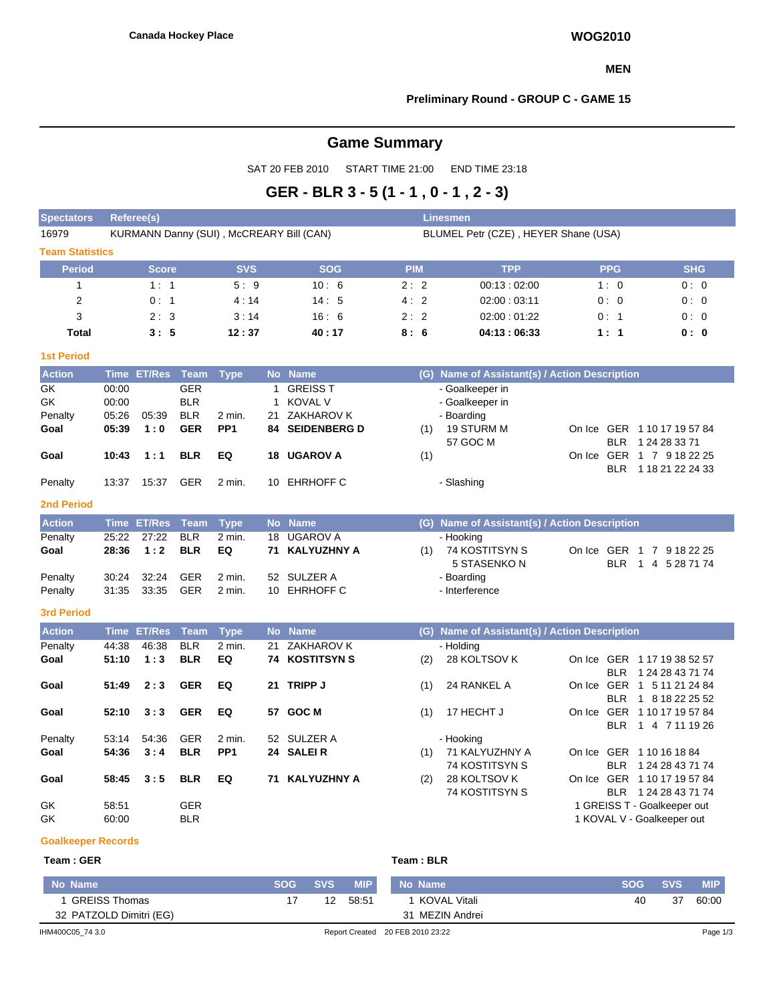### **MEN**

## **Preliminary Round - GROUP C - GAME 15**

# **Game Summary**

SAT 20 FEB 2010 START TIME 21:00 END TIME 23:18

## **GER - BLR 3 - 5 (1 - 1 , 0 - 1 , 2 - 3)**

| <b>Spectators</b>           | Referee(s)                       |                    |                                                      |                                          |                                          |                                                                        | <b>Linesmen</b> |                                      |                                                                            |                                        |                                                                   |  |  |  |  |  |
|-----------------------------|----------------------------------|--------------------|------------------------------------------------------|------------------------------------------|------------------------------------------|------------------------------------------------------------------------|-----------------|--------------------------------------|----------------------------------------------------------------------------|----------------------------------------|-------------------------------------------------------------------|--|--|--|--|--|
| 16979                       |                                  |                    |                                                      | KURMANN Danny (SUI), McCREARY Bill (CAN) |                                          |                                                                        |                 | BLUMEL Petr (CZE), HEYER Shane (USA) |                                                                            |                                        |                                                                   |  |  |  |  |  |
| <b>Team Statistics</b>      |                                  |                    |                                                      |                                          |                                          |                                                                        |                 |                                      |                                                                            |                                        |                                                                   |  |  |  |  |  |
| <b>Period</b>               |                                  | <b>Score</b>       |                                                      |                                          |                                          | <b>SOG</b>                                                             |                 | <b>PIM</b>                           | <b>TPP</b>                                                                 | <b>PPG</b>                             | <b>SHG</b>                                                        |  |  |  |  |  |
| $\mathbf{1}$                | 1:1<br>5:9                       |                    | 10:6                                                 |                                          | 2:2                                      | 00:13:02:00                                                            | 1:0             | 0:0                                  |                                                                            |                                        |                                                                   |  |  |  |  |  |
| $\overline{2}$              |                                  | 0:1<br>4:14        |                                                      | 14:5                                     |                                          | 4:2                                                                    | 02:00:03:11     | 0:0                                  | 0:0                                                                        |                                        |                                                                   |  |  |  |  |  |
| 3                           |                                  | 2:3                |                                                      | 3:14                                     |                                          | 16:6                                                                   |                 | 2:2                                  | 02:00:01:22                                                                | 0:1                                    | 0:0                                                               |  |  |  |  |  |
| <b>Total</b>                |                                  | 3:5                |                                                      | 12:37                                    |                                          | 40:17                                                                  |                 | 8:6                                  | 04:13:06:33                                                                | 1:1                                    | 0: 0                                                              |  |  |  |  |  |
| <b>1st Period</b>           |                                  |                    |                                                      |                                          |                                          |                                                                        |                 |                                      |                                                                            |                                        |                                                                   |  |  |  |  |  |
| <b>Action</b>               |                                  | Time ET/Res        | Team                                                 | <b>Type</b>                              |                                          | No Name                                                                |                 |                                      | (G) Name of Assistant(s) / Action Description                              |                                        |                                                                   |  |  |  |  |  |
| GK<br>GK<br>Penalty<br>Goal | 00:00<br>00:00<br>05:26<br>05:39 | 05:39<br>1:0       | <b>GER</b><br><b>BLR</b><br><b>BLR</b><br><b>GER</b> | 2 min.<br>PP <sub>1</sub>                | $\mathbf{1}$<br>$\mathbf{1}$<br>21<br>84 | <b>GREISS T</b><br><b>KOVAL V</b><br>ZAKHAROV K<br><b>SEIDENBERG D</b> |                 | (1)                                  | - Goalkeeper in<br>- Goalkeeper in<br>- Boarding<br>19 STURM M<br>57 GOC M | <b>BLR</b>                             | On Ice GER 1 10 17 19 57 84<br>1 24 28 33 71                      |  |  |  |  |  |
| Goal                        | 10:43                            | 1:1                | <b>BLR</b>                                           | EQ                                       | 18                                       | <b>UGAROV A</b>                                                        |                 | (1)                                  |                                                                            |                                        | On Ice GER 1 7 9 18 22 25                                         |  |  |  |  |  |
| Penalty                     | 13:37                            | 15:37              | <b>GER</b>                                           | $2$ min.                                 | 10                                       | <b>EHRHOFF C</b>                                                       |                 |                                      | - Slashing                                                                 | <b>BLR</b>                             | 1 18 21 22 24 33                                                  |  |  |  |  |  |
| <b>2nd Period</b>           |                                  |                    |                                                      |                                          |                                          |                                                                        |                 |                                      |                                                                            |                                        |                                                                   |  |  |  |  |  |
| <b>Action</b>               | <b>Time</b>                      | <b>ET/Res</b>      | <b>Team</b>                                          | <b>Type</b>                              |                                          | No Name                                                                |                 |                                      | (G) Name of Assistant(s) / Action Description                              |                                        |                                                                   |  |  |  |  |  |
| Penalty                     | 25:22                            | 27:22              | <b>BLR</b>                                           | 2 min.                                   | 18                                       | <b>UGAROV A</b>                                                        |                 |                                      | - Hooking                                                                  |                                        |                                                                   |  |  |  |  |  |
| Goal                        | 28:36                            | 1:2                | <b>BLR</b>                                           | EQ                                       | 71                                       | <b>KALYUZHNY A</b>                                                     |                 | (1)                                  | 74 KOSTITSYN S<br>5 STASENKO N                                             | <b>BLR</b>                             | On Ice GER 1 7 9 18 22 25<br>1 4 5 28 71 74                       |  |  |  |  |  |
| Penalty                     | 30:24                            | 32:24              | <b>GER</b>                                           | 2 min.                                   | 52                                       | SULZER A                                                               |                 |                                      | - Boarding                                                                 |                                        |                                                                   |  |  |  |  |  |
| Penalty                     | 31:35                            | 33:35              | <b>GER</b>                                           | $2$ min.                                 | 10                                       | <b>EHRHOFF C</b>                                                       |                 |                                      | - Interference                                                             |                                        |                                                                   |  |  |  |  |  |
| <b>3rd Period</b>           |                                  |                    |                                                      |                                          |                                          |                                                                        |                 |                                      |                                                                            |                                        |                                                                   |  |  |  |  |  |
| <b>Action</b>               |                                  | <b>Time ET/Res</b> | <b>Team</b>                                          | <b>Type</b>                              |                                          | No Name                                                                |                 |                                      | (G) Name of Assistant(s) / Action Description                              |                                        |                                                                   |  |  |  |  |  |
| Penalty                     | 44:38                            | 46:38              | <b>BLR</b>                                           | 2 min.                                   | 21                                       | ZAKHAROV K                                                             |                 |                                      | - Holding                                                                  |                                        |                                                                   |  |  |  |  |  |
| Goal                        | 51:10                            | 1:3                | <b>BLR</b>                                           | EQ                                       | 74                                       | <b>KOSTITSYN S</b>                                                     |                 | (2)                                  | 28 KOLTSOV K                                                               |                                        | On Ice GER 1 17 19 38 52 57                                       |  |  |  |  |  |
| Goal                        | 51:49                            | 2:3                | <b>GER</b>                                           | EQ                                       | 21                                       | <b>TRIPP J</b>                                                         |                 | (1)                                  | 24 RANKEL A                                                                | <b>BLR</b><br><b>BLR</b>               | 1 24 28 43 71 74<br>On Ice GER 1 5 11 21 24 84<br>1 8 18 22 25 52 |  |  |  |  |  |
| Goal                        | 52:10                            | 3:3                | <b>GER</b>                                           | EQ                                       | 57                                       | <b>GOC M</b>                                                           |                 | (1)                                  | 17 HECHT J                                                                 | <b>BLR</b>                             | On Ice GER 1 10 17 19 57 84<br>1 4 7 11 19 26                     |  |  |  |  |  |
| Penalty                     | 53:14                            | 54:36              | <b>GER</b>                                           | 2 min.                                   | 52                                       | SULZER A                                                               |                 |                                      | - Hooking                                                                  |                                        |                                                                   |  |  |  |  |  |
| Goal                        | 54:36                            | 3:4                | <b>BLR</b>                                           | PP <sub>1</sub>                          |                                          | 24 SALEIR                                                              |                 | (1)                                  | 71 KALYUZHNY A<br>74 KOSTITSYN S                                           | On Ice GER 1 10 16 18 84<br><b>BLR</b> | 1 24 28 43 71 74                                                  |  |  |  |  |  |
| Goal                        | 58:45                            | 3:5                | <b>BLR</b>                                           | EQ                                       | 71                                       | <b>KALYUZHNY A</b>                                                     |                 | (2)                                  | 28 KOLTSOV K<br>74 KOSTITSYN S                                             |                                        | On Ice GER 1 10 17 19 57 84<br>BLR 1 24 28 43 71 74               |  |  |  |  |  |
| GK                          | 58:51                            |                    | <b>GER</b>                                           |                                          |                                          |                                                                        |                 |                                      |                                                                            |                                        | 1 GREISS T - Goalkeeper out                                       |  |  |  |  |  |
| GK                          | 60:00                            |                    | <b>BLR</b>                                           |                                          |                                          |                                                                        |                 |                                      |                                                                            |                                        | 1 KOVAL V - Goalkeeper out                                        |  |  |  |  |  |
| <b>Goalkeeper Records</b>   |                                  |                    |                                                      |                                          |                                          |                                                                        |                 |                                      |                                                                            |                                        |                                                                   |  |  |  |  |  |

## $Team : GER$

| No Name                 | <b>SOG</b> | <b>SVS</b> | <b>MIP</b>                       | No Name         | <b>SOG</b> | <b>SVS</b> | <b>MIP</b> |
|-------------------------|------------|------------|----------------------------------|-----------------|------------|------------|------------|
| GREISS Thomas           |            | 12         | 58:51                            | ∣ KOVAL Vitali  | 40         | 37         | 60:00      |
| 32 PATZOLD Dimitri (EG) |            |            |                                  | 31 MEZIN Andrei |            |            |            |
| IHM400C05 74 3.0        |            |            | Report Created 20 FEB 2010 23:22 |                 |            | Page 1/3   |            |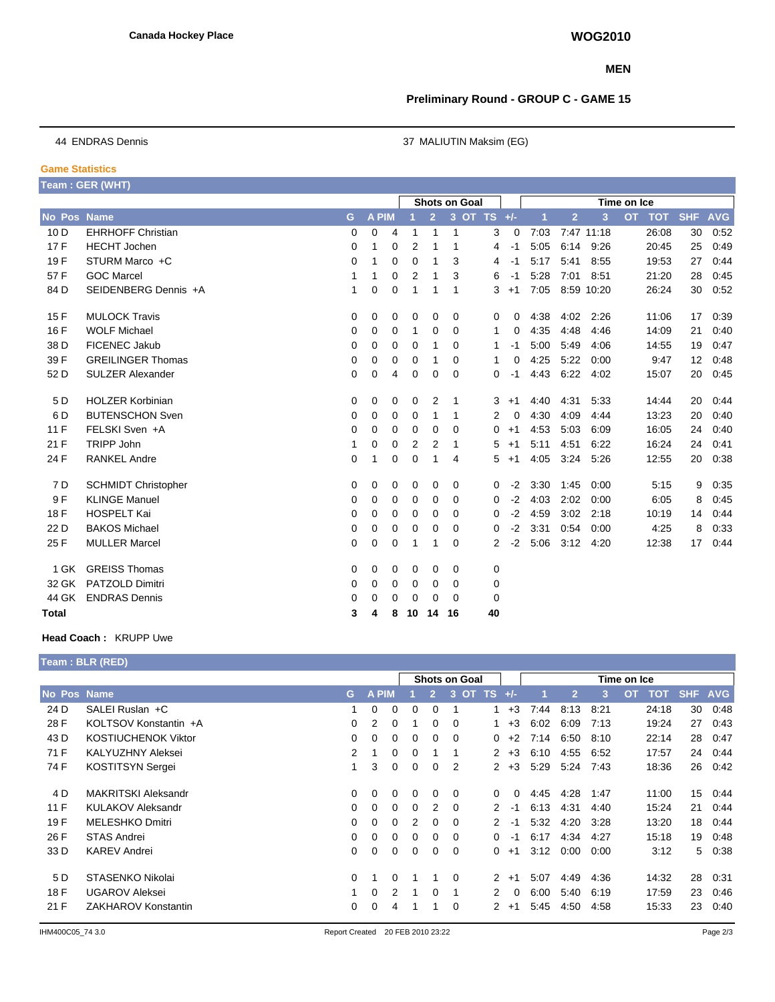### **MEN**

## **Preliminary Round - GROUP C - GAME 15**

**Game Statistics**

44 ENDRAS Dennis 37 MALIUTIN Maksim (EG)

|              | Team : GER (WHT)           |   |              |   |                      |                |                |             |      |             |                |            |           |            |            |            |  |  |
|--------------|----------------------------|---|--------------|---|----------------------|----------------|----------------|-------------|------|-------------|----------------|------------|-----------|------------|------------|------------|--|--|
|              |                            |   |              |   | <b>Shots on Goal</b> |                |                |             |      | Time on Ice |                |            |           |            |            |            |  |  |
| No Pos       | <b>Name</b>                | G | <b>A PIM</b> |   |                      | $\overline{2}$ | 3 <sup>2</sup> | OT TS $+/-$ |      | 1           | $\overline{2}$ | 3          | <b>OT</b> | <b>TOT</b> | <b>SHF</b> | <b>AVG</b> |  |  |
| 10 D         | <b>EHRHOFF Christian</b>   | 0 | 0            | 4 | 1                    | 1              | $\mathbf{1}$   | 3           | 0    | 7:03        |                | 7:47 11:18 |           | 26:08      | 30         | 0:52       |  |  |
| 17F          | <b>HECHT</b> Jochen        | 0 | 1            | 0 | 2                    | 1              | 1              | 4           | $-1$ | 5:05        | 6:14           | 9:26       |           | 20:45      | 25         | 0:49       |  |  |
| 19F          | STURM Marco +C             | 0 | 1            | 0 | 0                    | 1              | 3              | 4           | -1   | 5:17        | 5:41           | 8:55       |           | 19:53      | 27         | 0:44       |  |  |
| 57 F         | <b>GOC Marcel</b>          | 1 | 1            | 0 | 2                    | 1              | 3              | 6           | -1   | 5:28        | 7:01           | 8:51       |           | 21:20      | 28         | 0:45       |  |  |
| 84 D         | SEIDENBERG Dennis +A       | 1 | 0            | 0 | 1                    | 1              | -1             | 3           | $+1$ | 7:05        |                | 8:59 10:20 |           | 26:24      | 30         | 0.52       |  |  |
| 15 F         | <b>MULOCK Travis</b>       | 0 | 0            | 0 | 0                    | 0              | 0              | 0           | 0    | 4:38        | 4:02           | 2:26       |           | 11:06      | 17         | 0:39       |  |  |
| 16 F         | <b>WOLF Michael</b>        | 0 | 0            | 0 | 1                    | 0              | 0              | 1           | 0    | 4:35        | 4:48           | 4:46       |           | 14:09      | 21         | 0:40       |  |  |
| 38 D         | FICENEC Jakub              | 0 | 0            | 0 | 0                    | 1              | 0              | 1           | -1   | 5:00        | 5.49           | 4:06       |           | 14:55      | 19         | 0:47       |  |  |
| 39 F         | <b>GREILINGER Thomas</b>   | 0 | 0            | 0 | 0                    | 1              | 0              | 1           | 0    | 4:25        | 5:22           | 0:00       |           | 9:47       | 12         | 0:48       |  |  |
| 52 D         | <b>SULZER Alexander</b>    | 0 | 0            | 4 | 0                    | 0              | 0              | 0           | -1   | 4.43        | 6:22           | 4:02       |           | 15:07      | 20         | 0:45       |  |  |
| 5 D          | <b>HOLZER Korbinian</b>    | 0 | 0            | 0 | 0                    | 2              | -1             | 3           | $+1$ | 4:40        | 4:31           | 5:33       |           | 14:44      | 20         | 0:44       |  |  |
| 6 D          | <b>BUTENSCHON Sven</b>     | 0 | 0            | 0 | 0                    | 1              | 1              | 2           | 0    | 4:30        | 4:09           | 4:44       |           | 13:23      | 20         | 0:40       |  |  |
| 11F          | FELSKI Sven +A             | 0 | 0            | 0 | 0                    | 0              | 0              | 0           | $+1$ | 4:53        | 5:03           | 6:09       |           | 16:05      | 24         | 0:40       |  |  |
| 21 F         | <b>TRIPP John</b>          | 1 | 0            | 0 | 2                    | 2              | $\mathbf 1$    | 5           | $+1$ | 5:11        | 4:51           | 6:22       |           | 16:24      | 24         | 0:41       |  |  |
| 24 F         | <b>RANKEL Andre</b>        | 0 | 1            | 0 | 0                    | 1              | 4              | 5           | $+1$ | 4:05        | 3:24           | 5:26       |           | 12:55      | 20         | 0:38       |  |  |
| 7 D          | <b>SCHMIDT Christopher</b> | 0 | 0            | 0 | 0                    | 0              | 0              | 0           | $-2$ | 3:30        | 1:45           | 0:00       |           | 5:15       | 9          | 0:35       |  |  |
| 9 F          | <b>KLINGE Manuel</b>       | 0 | 0            | 0 | 0                    | 0              | 0              | 0           | $-2$ | 4:03        | 2:02           | 0:00       |           | 6:05       | 8          | 0:45       |  |  |
| 18 F         | <b>HOSPELT Kai</b>         | 0 | 0            | 0 | 0                    | 0              | 0              | 0           | $-2$ | 4:59        | 3:02           | 2:18       |           | 10:19      | 14         | 0:44       |  |  |
| 22 D         | <b>BAKOS Michael</b>       | 0 | 0            | 0 | 0                    | 0              | 0              | 0           | $-2$ | 3:31        | 0:54           | 0:00       |           | 4:25       | 8          | 0:33       |  |  |
| 25 F         | <b>MULLER Marcel</b>       | 0 | 0            | 0 | 1                    | 1              | 0              | 2           | $-2$ | 5:06        | 3:12           | 4:20       |           | 12:38      | 17         | 0:44       |  |  |
| 1 GK         | <b>GREISS Thomas</b>       | 0 | 0            | 0 | 0                    | 0              | 0              | 0           |      |             |                |            |           |            |            |            |  |  |
| 32 GK        | <b>PATZOLD Dimitri</b>     | 0 | 0            | 0 | 0                    | 0              | 0              | 0           |      |             |                |            |           |            |            |            |  |  |
| 44 GK        | <b>ENDRAS Dennis</b>       | 0 | 0            | 0 | $\Omega$             | 0              | $\Omega$       | 0           |      |             |                |            |           |            |            |            |  |  |
| <b>Total</b> |                            | 3 | 4            | 8 | 10                   | 14             | 16             | 40          |      |             |                |            |           |            |            |            |  |  |

#### **Head Coach :** KRUPP Uwe

|             | <b>Team : BLR (RED)</b>    |          |              |          |          |               |                |                      |          |      |                |      |                         |     |            |
|-------------|----------------------------|----------|--------------|----------|----------|---------------|----------------|----------------------|----------|------|----------------|------|-------------------------|-----|------------|
|             | <b>Shots on Goal</b>       |          |              |          |          |               |                |                      |          |      |                |      | Time on Ice             |     |            |
| No Pos Name |                            | G        | <b>A PIM</b> |          |          | $\mathcal{P}$ | OT TS<br>3     |                      | $+/-$    |      | $\overline{2}$ | 3    | <b>TOT</b><br><b>OT</b> | SHF | <b>AVG</b> |
| 24 D        | SALEI Ruslan +C            | 1        | 0            | 0        | $\Omega$ | 0             |                | 1                    | $+3$     | 7:44 | 8:13           | 8:21 | 24:18                   | 30  | 0.48       |
| 28 F        | KOLTSOV Konstantin +A      | $\Omega$ | 2            | 0        |          | 0             | $\Omega$       |                      | $+3$     | 6:02 | 6:09           | 7:13 | 19:24                   | 27  | 0.43       |
| 43 D        | <b>KOSTIUCHENOK Viktor</b> | $\Omega$ | 0            | 0        | 0        | 0             | $\Omega$       | 0                    | $+2$     | 7:14 | 6:50           | 8:10 | 22:14                   | 28  | 0:47       |
| 71 F        | <b>KALYUZHNY Aleksei</b>   | 2        |              | 0        | 0        |               |                | $\mathbf{2}$         | $+3$     | 6:10 | 4:55           | 6:52 | 17:57                   | 24  | 0.44       |
| 74 F        | <b>KOSTITSYN Sergei</b>    |          | 3            | 0        | $\Omega$ | 0             | $\overline{2}$ | $\mathbf{2}^{\circ}$ | $+3$     | 5:29 | 5:24           | 7:43 | 18:36                   | 26  | 0.42       |
| 4 D         | <b>MAKRITSKI Aleksandr</b> | $\Omega$ | 0            | 0        | $\Omega$ | 0             | $\Omega$       | 0                    | $\Omega$ | 4:45 | 4:28           | 1:47 | 11:00                   | 15  | 0.44       |
| 11F         | <b>KULAKOV Aleksandr</b>   | $\Omega$ | 0            | 0        | 0        | 2             | - 0            | 2                    | -1       | 6:13 | 4:31           | 4:40 | 15:24                   | 21  | 0:44       |
| 19F         | <b>MELESHKO Dmitri</b>     | $\Omega$ | 0            | 0        | 2        | 0             | $\Omega$       | 2                    | $-1$     | 5:32 | 4:20           | 3:28 | 13:20                   | 18  | 0.44       |
| 26 F        | <b>STAS Andrei</b>         | $\Omega$ | 0            | 0        | $\Omega$ | 0             | $\Omega$       | 0                    | -1       | 6:17 | 4:34           | 4:27 | 15:18                   | 19  | 0.48       |
| 33 D        | <b>KAREV Andrei</b>        | $\Omega$ | 0            | $\Omega$ | $\Omega$ | 0             | $\Omega$       | 0                    | $+1$     | 3:12 | 0:00           | 0:00 | 3:12                    | 5   | 0:38       |
| 5 D         | STASENKO Nikolai           | $\Omega$ |              | 0        |          |               | $\Omega$       | 2                    | $+1$     | 5:07 | 4:49           | 4:36 | 14:32                   | 28  | 0:31       |
| 18 F        | <b>UGAROV Aleksei</b>      |          | 0            | 2        | 1        | 0             | 1              | 2                    | $\Omega$ | 6:00 | 5:40           | 6:19 | 17:59                   | 23  | 0.46       |
| 21 F        | ZAKHAROV Konstantin        | 0        | 0            | 4        |          |               | $\Omega$       | 2                    | $+1$     | 5:45 | 4:50           | 4:58 | 15:33                   | 23  | 0:40       |